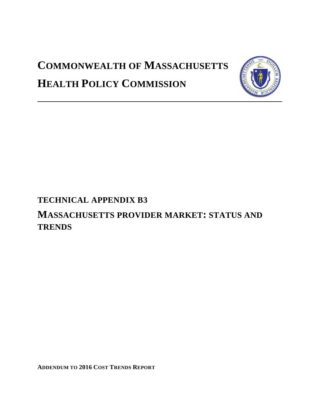# **COMMONWEALTH OF MASSACHUSETTS HEALTH POLICY COMMISSION**



# **TECHNICAL APPENDIX B3**

# **MASSACHUSETTS PROVIDER MARKET: STATUS AND TRENDS**

**ADDENDUM TO 2016 COST TRENDS REPORT**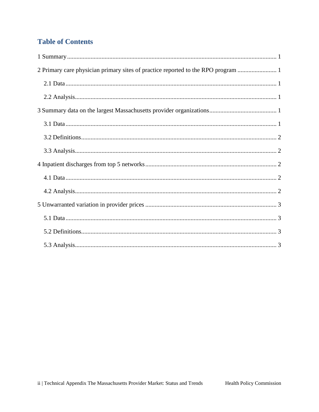# **Table of Contents**

| 2 Primary care physician primary sites of practice reported to the RPO program |
|--------------------------------------------------------------------------------|
|                                                                                |
|                                                                                |
|                                                                                |
|                                                                                |
|                                                                                |
|                                                                                |
|                                                                                |
|                                                                                |
|                                                                                |
|                                                                                |
|                                                                                |
|                                                                                |
|                                                                                |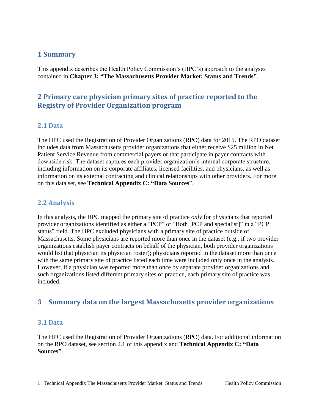#### <span id="page-2-0"></span>**1 Summary**

This appendix describes the Health Policy Commission's (HPC's) approach to the analyses contained in **Chapter 3: "The Massachusetts Provider Market: Status and Trends"**.

# <span id="page-2-1"></span>**2 Primary care physician primary sites of practice reported to the Registry of Provider Organization program**

#### <span id="page-2-2"></span>**2.1 Data**

The HPC used the Registration of Provider Organizations (RPO) data for 2015. The RPO dataset includes data from Massachusetts provider organizations that either receive \$25 million in Net Patient Service Revenue from commercial payers or that participate in payer contracts with downside risk. The dataset captures each provider organization's internal corporate structure, including information on its corporate affiliates, licensed facilities, and physicians, as well as information on its external contracting and clinical relationships with other providers. For more on this data set, see **Technical Appendix C: "Data Sources**".

#### <span id="page-2-3"></span>**2.2 Analysis**

In this analysis, the HPC mapped the primary site of practice *only* for physicians that reported provider organizations identified as either a "PCP" or "Both [PCP and specialist]" in a "PCP status" field. The HPC excluded physicians with a primary site of practice outside of Massachusetts. Some physicians are reported more than once in the dataset (e.g., if two provider organizations establish payer contracts on behalf of the physician, both provider organizations would list that physician its physician roster); physicians reported in the dataset more than once with the same primary site of practice listed each time were included only once in the analysis. However, if a physician was reported more than once by separate provider organizations and such organizations listed different primary sites of practice, each primary site of practice was included.

## <span id="page-2-4"></span>**3 Summary data on the largest Massachusetts provider organizations**

#### <span id="page-2-5"></span>**3.1 Data**

The HPC used the Registration of Provider Organizations (RPO) data. For additional information on the RPO dataset, see section 2.1 of this appendix and **Technical Appendix C: "Data Sources"**.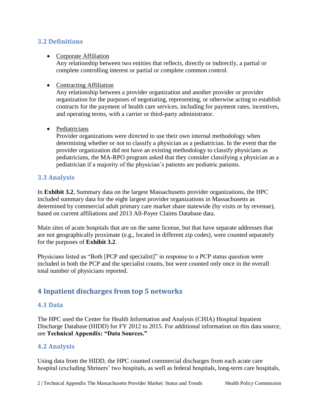#### <span id="page-3-0"></span>**3.2 Definitions**

#### • Corporate Affiliation

Any relationship between two entities that reflects, directly or indirectly, a partial or complete controlling interest or partial or complete common control.

#### • Contracting Affiliation

Any relationship between a provider organization and another provider or provider organization for the purposes of negotiating, representing, or otherwise acting to establish contracts for the payment of health care services, including for payment rates, incentives, and operating terms, with a carrier or third-party administrator.

• Pediatricians

Provider organizations were directed to use their own internal methodology when determining whether or not to classify a physician as a pediatrician. In the event that the provider organization did not have an existing methodology to classify physicians as pediatricians, the MA-RPO program asked that they consider classifying a physician as a pediatrician if a majority of the physician's patients are pediatric patients.

#### <span id="page-3-1"></span>**3.3 Analysis**

In **Exhibit 3.2**, Summary data on the largest Massachusetts provider organizations, the HPC included summary data for the eight largest provider organizations in Massachusetts as determined by commercial adult primary care market share statewide (by visits or by revenue), based on current affiliations and 2013 All-Payer Claims Database data.

Main sites of acute hospitals that are on the same license, but that have separate addresses that are not geographically proximate (e.g., located in different zip codes), were counted separately for the purposes of **Exhibit 3.2**.

Physicians listed as "Both [PCP and specialist]" in response to a PCP status question were included in both the PCP and the specialist counts, but were counted only once in the overall total number of physicians reported.

# <span id="page-3-2"></span>**4 Inpatient discharges from top 5 networks**

#### <span id="page-3-3"></span>**4.1 Data**

The HPC used the Center for Health Information and Analysis (CHIA) Hospital Inpatient Discharge Database (HIDD) for FY 2012 to 2015. For additional information on this data source, see **Technical Appendix: "Data Sources."** 

#### <span id="page-3-4"></span>**4.2 Analysis**

Using data from the HIDD, the HPC counted commercial discharges from each acute care hospital (excluding Shriners' two hospitals, as well as federal hospitals, long-term care hospitals,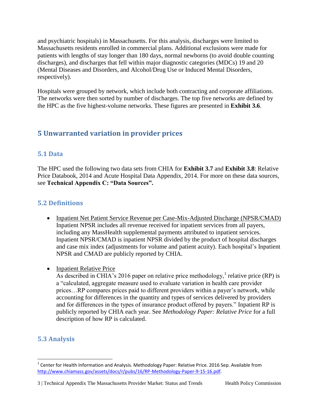and psychiatric hospitals) in Massachusetts. For this analysis, discharges were limited to Massachusetts residents enrolled in commercial plans. Additional exclusions were made for patients with lengths of stay longer than 180 days, normal newborns (to avoid double counting discharges), and discharges that fell within major diagnostic categories (MDCs) 19 and 20 (Mental Diseases and Disorders, and Alcohol/Drug Use or Induced Mental Disorders, respectively).

Hospitals were grouped by network, which include both contracting and corporate affiliations. The networks were then sorted by number of discharges. The top five networks are defined by the HPC as the five highest-volume networks. These figures are presented in **Exhibit 3.6**.

# <span id="page-4-0"></span>**5 Unwarranted variation in provider prices**

## <span id="page-4-1"></span>**5.1 Data**

The HPC used the following two data sets from CHIA for **Exhibit 3.7** and **Exhibit 3.8**: Relative Price Databook, 2014 and Acute Hospital Data Appendix, 2014. For more on these data sources, see **Technical Appendix C: "Data Sources".** 

# <span id="page-4-2"></span>**5.2 Definitions**

- Inpatient Net Patient Service Revenue per Case-Mix-Adjusted Discharge (NPSR/CMAD) Inpatient NPSR includes all revenue received for inpatient services from all payers, including any MassHealth supplemental payments attributed to inpatient services. Inpatient NPSR/CMAD is inpatient NPSR divided by the product of hospital discharges and case mix index (adjustments for volume and patient acuity). Each hospital's Inpatient NPSR and CMAD are publicly reported by CHIA.
- Inpatient Relative Price

As described in CHIA's 2016 paper on relative price methodology,<sup>1</sup> relative price (RP) is a "calculated, aggregate measure used to evaluate variation in health care provider prices…RP compares prices paid to different providers within a payer's network, while accounting for differences in the quantity and types of services delivered by providers and for differences in the types of insurance product offered by payers." Inpatient RP is publicly reported by CHIA each year. See *Methodology Paper: Relative Price* for a full description of how RP is calculated.

# <span id="page-4-3"></span>**5.3 Analysis**

l  $^{1}$  Center for Health Information and Analysis. Methodology Paper: Relative Price. 2016 Sep. Available from [http://www.chiamass.gov/assets/docs/r/pubs/16/RP-Methodology-Paper-9-15-16.pdf.](http://www.chiamass.gov/assets/docs/r/pubs/16/RP-Methodology-Paper-9-15-16.pdf) 

<sup>3 |</sup> Technical Appendix The Massachusetts Provider Market: Status and Trends Health Policy Commission